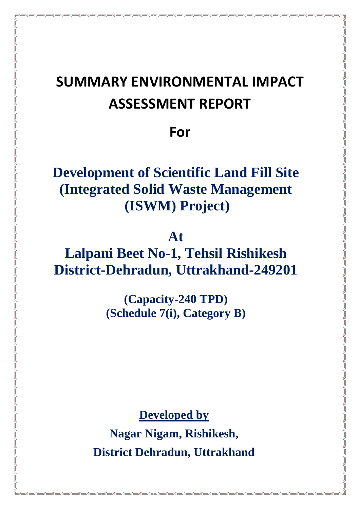# **SUMMARY ENVIRONMENTAL IMPACT ASSESSMENT REPORT**

**For** 

# **Development of Scientific Land Fill Site (Integrated Solid Waste Management (ISWM) Project)**

# **At**

**Lalpani Beet No-1, Tehsil Rishikesh District-Dehradun, Uttrakhand-249201**

> **(Capacity-240 TPD) (Schedule 7(i), Category B)**

> > **Developed by**

**Nagar Nigam, Rishikesh, District Dehradun, Uttrakhand**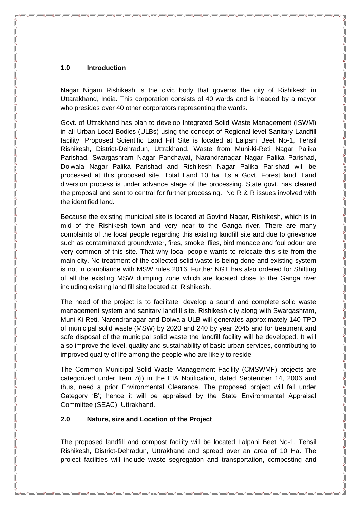#### **1.0 Introduction**

Nagar Nigam Rishikesh is the civic body that governs the city of Rishikesh in Uttarakhand, India. This corporation consists of 40 wards and is headed by a mayor who presides over 40 other corporators representing the wards.

Govt. of Uttrakhand has plan to develop Integrated Solid Waste Management (ISWM) in all Urban Local Bodies (ULBs) using the concept of Regional level Sanitary Landfill facility. Proposed Scientific Land Fill Site is located at Lalpani Beet No-1, Tehsil Rishikesh, District-Dehradun, Uttrakhand. Waste from Muni-ki-Reti Nagar Palika Parishad, Swargashram Nagar Panchayat, Narandranagar Nagar Palika Parishad, Doiwala Nagar Palika Parishad and Rishikesh Nagar Palika Parishad will be processed at this proposed site. Total Land 10 ha. Its a Govt. Forest land. Land diversion process is under advance stage of the processing. State govt. has cleared the proposal and sent to central for further processing. No R & R issues involved with the identified land.

Because the existing municipal site is located at Govind Nagar, Rishikesh, which is in mid of the Rishikesh town and very near to the Ganga river. There are many complaints of the local people regarding this existing landfill site and due to grievance such as contaminated groundwater, fires, smoke, flies, bird menace and foul odour are very common of this site. That why local people wants to relocate this site from the main city. No treatment of the collected solid waste is being done and existing system is not in compliance with MSW rules 2016. Further NGT has also ordered for Shifting of all the existing MSW dumping zone which are located close to the Ganga river including existing land fill site located at Rishikesh.

The need of the project is to facilitate, develop a sound and complete solid waste management system and sanitary landfill site. Rishikesh city along with Swargashram, Muni Ki Reti, Narendranagar and Doiwala ULB will generates approximately 140 TPD of municipal solid waste (MSW) by 2020 and 240 by year 2045 and for treatment and safe disposal of the municipal solid waste the landfill facility will be developed. It will also improve the level, quality and sustainability of basic urban services, contributing to improved quality of life among the people who are likely to reside

The Common Municipal Solid Waste Management Facility (CMSWMF) projects are categorized under Item 7(i) in the EIA Notification, dated September 14, 2006 and thus, need a prior Environmental Clearance. The proposed project will fall under Category "B"; hence it will be appraised by the State Environmental Appraisal Committee (SEAC), Uttrakhand.

#### **2.0 Nature, size and Location of the Project**

The proposed landfill and compost facility will be located Lalpani Beet No-1, Tehsil Rishikesh, District-Dehradun, Uttrakhand and spread over an area of 10 Ha. The project facilities will include waste segregation and transportation, composting and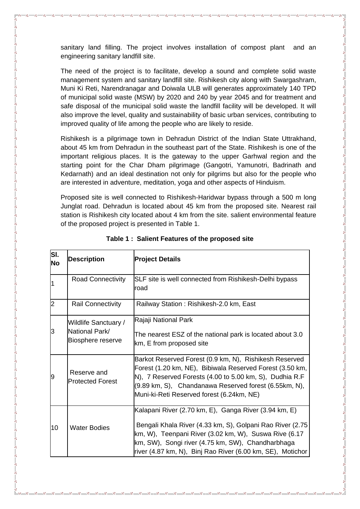sanitary land filling. The project involves installation of compost plant and an engineering sanitary landfill site.

The need of the project is to facilitate, develop a sound and complete solid waste management system and sanitary landfill site. Rishikesh city along with Swargashram, Muni Ki Reti, Narendranagar and Doiwala ULB will generates approximately 140 TPD of municipal solid waste (MSW) by 2020 and 240 by year 2045 and for treatment and safe disposal of the municipal solid waste the landfill facility will be developed. It will also improve the level, quality and sustainability of basic urban services, contributing to improved quality of life among the people who are likely to reside.

Rishikesh is a pilgrimage town in Dehradun District of the Indian State Uttrakhand, about 45 km from Dehradun in the southeast part of the State. Rishikesh is one of the important religious places. It is the gateway to the upper Garhwal region and the starting point for the Char Dham pilgrimage (Gangotri, Yamunotri, Badrinath and Kedarnath) and an ideal destination not only for pilgrims but also for the people who are interested in adventure, meditation, yoga and other aspects of Hinduism.

Proposed site is well connected to Rishikesh-Haridwar bypass through a 500 m long Junglat road. Dehradun is located about 45 km from the proposed site. Nearest rail station is Rishikesh city located about 4 km from the site. salient environmental feature of the proposed project is presented in Table 1.

| SI.<br>No | <b>Description</b>                                                 | <b>Project Details</b>                                                                                                                                                                                                                                                                         |
|-----------|--------------------------------------------------------------------|------------------------------------------------------------------------------------------------------------------------------------------------------------------------------------------------------------------------------------------------------------------------------------------------|
| 11        | Road Connectivity                                                  | SLF site is well connected from Rishikesh-Delhi bypass<br>road                                                                                                                                                                                                                                 |
| 2         | <b>Rail Connectivity</b>                                           | Railway Station: Rishikesh-2.0 km, East                                                                                                                                                                                                                                                        |
| 3         | <b>Wildlife Sanctuary /</b><br>National Park/<br>Biosphere reserve | Rajaji National Park<br>The nearest ESZ of the national park is located about 3.0<br>km, E from proposed site                                                                                                                                                                                  |
| 9         | Reserve and<br><b>Protected Forest</b>                             | Barkot Reserved Forest (0.9 km, N), Rishikesh Reserved<br>Forest (1.20 km, NE), Bibiwala Reserved Forest (3.50 km,<br>N), 7 Reserved Forests (4.00 to 5.00 km, S), Dudhia R.F<br>(9.89 km, S), Chandanawa Reserved forest (6.55km, N),<br>Muni-ki-Reti Reserved forest (6.24km, NE)            |
| 10        | <b>Water Bodies</b>                                                | Kalapani River (2.70 km, E), Ganga River (3.94 km, E)<br>Bengali Khala River (4.33 km, S), Golpani Rao River (2.75<br>km, W), Teenpani River (3.02 km, W), Suswa Rive (6.17<br>km, SW), Songi river (4.75 km, SW), Chandharbhaga<br>river (4.87 km, N), Binj Rao River (6.00 km, SE), Motichor |

|  |  |  |  | Table 1: Salient Features of the proposed site |  |
|--|--|--|--|------------------------------------------------|--|
|--|--|--|--|------------------------------------------------|--|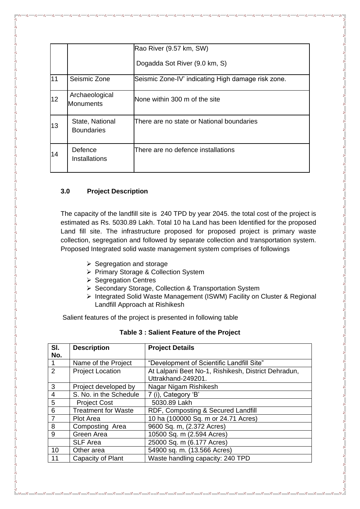|    |                                      | Rao River (9.57 km, SW)                            |
|----|--------------------------------------|----------------------------------------------------|
|    |                                      | Dogadda Sot River (9.0 km, S)                      |
| 11 | Seismic Zone                         | Seismic Zone-IV' indicating High damage risk zone. |
| 12 | Archaeological<br><b>Monuments</b>   | None within 300 m of the site                      |
| 13 | State, National<br><b>Boundaries</b> | There are no state or National boundaries          |
| 14 | Defence<br>Installations             | There are no defence installations                 |

### **3.0 Project Description**

The capacity of the landfill site is 240 TPD by year 2045. the total cost of the project is estimated as Rs. 5030.89 Lakh. Total 10 ha Land has been Identified for the proposed Land fill site. The infrastructure proposed for proposed project is primary waste collection, segregation and followed by separate collection and transportation system. Proposed Integrated solid waste management system comprises of followings

- $\triangleright$  Segregation and storage
- ▶ Primary Storage & Collection System
- $\triangleright$  Segregation Centres
- ▶ Secondary Storage, Collection & Transportation System
- Integrated Solid Waste Management (ISWM) Facility on Cluster & Regional Landfill Approach at Rishikesh

Salient features of the project is presented in following table

| SI.            | <b>Description</b>         | <b>Project Details</b>                              |  |
|----------------|----------------------------|-----------------------------------------------------|--|
| No.            |                            |                                                     |  |
| $\overline{1}$ | Name of the Project        | "Development of Scientific Landfill Site"           |  |
| $\overline{2}$ | <b>Project Location</b>    | At Lalpani Beet No-1, Rishikesh, District Dehradun, |  |
|                |                            | Uttrakhand-249201.                                  |  |
| 3              | Project developed by       | Nagar Nigam Rishikesh                               |  |
| $\overline{4}$ | S. No. in the Schedule     | 7 (i), Category 'B'                                 |  |
| 5              | <b>Project Cost</b>        | 5030.89 Lakh                                        |  |
| 6              | <b>Treatment for Waste</b> | RDF, Composting & Secured Landfill                  |  |
| $\overline{7}$ | <b>Plot Area</b>           | 10 ha (100000 Sq. m or 24.71 Acres)                 |  |
| 8              | Composting Area            | 9600 Sq. m, (2.372 Acres)                           |  |
| 9              | Green Area                 | 10500 Sq. m (2.594 Acres)                           |  |
|                | <b>SLF Area</b>            | 25000 Sq. m (6.177 Acres)                           |  |
| 10             | Other area                 | 54900 sq. m. (13.566 Acres)                         |  |
| 11             | Capacity of Plant          | Waste handling capacity: 240 TPD                    |  |

#### **Table 3 : Salient Feature of the Project**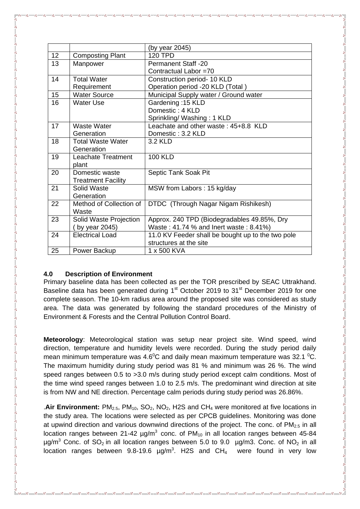|    |                           | (by year 2045)                                    |
|----|---------------------------|---------------------------------------------------|
| 12 | <b>Composting Plant</b>   | <b>120 TPD</b>                                    |
| 13 | Manpower                  | <b>Permanent Staff -20</b>                        |
|    |                           | Contractual Labor =70                             |
| 14 | <b>Total Water</b>        | Construction period- 10 KLD                       |
|    | Requirement               | Operation period -20 KLD (Total)                  |
| 15 | <b>Water Source</b>       | Municipal Supply water / Ground water             |
| 16 | <b>Water Use</b>          | Gardening: 15 KLD                                 |
|    |                           | Domestic: 4 KLD                                   |
|    |                           | Sprinkling/ Washing: 1 KLD                        |
| 17 | Waste Water               | Leachate and other waste: 45+8.8 KLD              |
|    | Generation                | Domestic: 3.2 KLD                                 |
| 18 | <b>Total Waste Water</b>  | 3.2 KLD                                           |
|    | Generation                |                                                   |
| 19 | Leachate Treatment        | <b>100 KLD</b>                                    |
|    | plant                     |                                                   |
| 20 | Domestic waste            | Septic Tank Soak Pit                              |
|    | <b>Treatment Facility</b> |                                                   |
| 21 | Solid Waste               | MSW from Labors: 15 kg/day                        |
|    | Generation                |                                                   |
| 22 | Method of Collection of   | DTDC (Through Nagar Nigam Rishikesh)              |
|    | Waste                     |                                                   |
| 23 | Solid Waste Projection    | Approx. 240 TPD (Biodegradables 49.85%, Dry       |
|    | (by year 2045)            | Waste: 41.74 % and lnert waste: 8.41%)            |
| 24 | <b>Electrical Load</b>    | 11.0 KV Feeder shall be bought up to the two pole |
|    |                           | structures at the site                            |
| 25 | Power Backup              | 1 x 500 KVA                                       |

#### **4.0 Description of Environment**

Primary baseline data has been collected as per the TOR prescribed by SEAC Uttrakhand. Baseline data has been generated during 1<sup>st</sup> October 2019 to 31<sup>st</sup> December 2019 for one complete season. The 10-km radius area around the proposed site was considered as study area. The data was generated by following the standard procedures of the Ministry of Environment & Forests and the Central Pollution Control Board.

**Meteorology**: Meteorological station was setup near project site. Wind speed, wind direction, temperature and humidity levels were recorded. During the study period daily mean minimum temperature was 4.6<sup>o</sup>C and daily mean maximum temperature was 32.1 <sup>o</sup>C. The maximum humidity during study period was 81 % and minimum was 26 %. The wind speed ranges between 0.5 to >3.0 m/s during study period except calm conditions. Most of the time wind speed ranges between 1.0 to 2.5 m/s. The predominant wind direction at site is from NW and NE direction. Percentage calm periods during study period was 26.86%.

.**Air Environment:** PM<sub>2.5</sub>, PM<sub>10</sub>, SO<sub>2</sub>, NO<sub>2</sub>, H2S and CH<sub>4</sub> were monitored at five locations in the study area. The locations were selected as per CPCB guidelines. Monitoring was done at upwind direction and various downwind directions of the project. The conc. of  $PM_{2.5}$  in all location ranges between 21-42  $\mu$ g/m<sup>3</sup> conc. of PM<sub>10</sub> in all location ranges between 45-84  $\mu$ g/m<sup>3</sup> Conc. of SO<sub>2</sub> in all location ranges between 5.0 to 9.0  $\mu$ g/m3. Conc. of NO<sub>2</sub> in all location ranges between  $9.8$ -19.6  $\mu$ g/m<sup>3</sup>. H2S and CH<sub>4</sub> were found in very low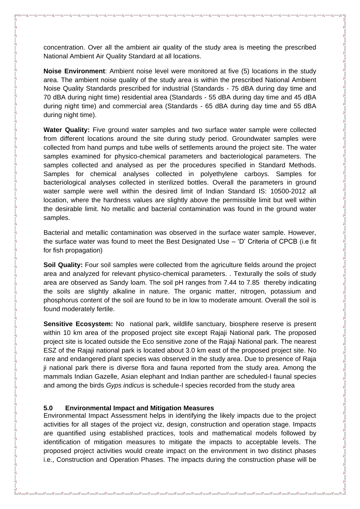concentration. Over all the ambient air quality of the study area is meeting the prescribed National Ambient Air Quality Standard at all locations.

**Noise Environment**: Ambient noise level were monitored at five (5) locations in the study area. The ambient noise quality of the study area is within the prescribed National Ambient Noise Quality Standards prescribed for industrial (Standards - 75 dBA during day time and 70 dBA during night time) residential area (Standards - 55 dBA during day time and 45 dBA during night time) and commercial area (Standards - 65 dBA during day time and 55 dBA during night time).

**Water Quality:** Five ground water samples and two surface water sample were collected from different locations around the site during study period. Groundwater samples were collected from hand pumps and tube wells of settlements around the project site. The water samples examined for physico-chemical parameters and bacteriological parameters. The samples collected and analysed as per the procedures specified in Standard Methods. Samples for chemical analyses collected in polyethylene carboys. Samples for bacteriological analyses collected in sterilized bottles. Overall the parameters in ground water sample were well within the desired limit of Indian Standard IS: 10500-2012 all location, where the hardness values are slightly above the permissible limit but well within the desirable limit. No metallic and bacterial contamination was found in the ground water samples.

Bacterial and metallic contamination was observed in the surface water sample. However, the surface water was found to meet the Best Designated Use – "D" Criteria of CPCB (i.e fit for fish propagation)

**Soil Quality:** Four soil samples were collected from the agriculture fields around the project area and analyzed for relevant physico-chemical parameters. . Texturally the soils of study area are observed as Sandy loam. The soil pH ranges from 7.44 to 7.85 thereby indicating the soils are slightly alkaline in nature. The organic matter, nitrogen, potassium and phosphorus content of the soil are found to be in low to moderate amount. Overall the soil is found moderately fertile.

**Sensitive Ecosystem:** No national park, wildlife sanctuary, biosphere reserve is present within 10 km area of the proposed project site except Rajaji National park. The proposed project site is located outside the Eco sensitive zone of the Rajaji National park. The nearest ESZ of the Rajaji national park is located about 3.0 km east of the proposed project site. No rare and endangered plant species was observed in the study area. Due to presence of Raja ji national park there is diverse flora and fauna reported from the study area. Among the mammals Indian Gazelle, Asian elephant and Indian panther are scheduled-I faunal species and among the birds *Gyps indicus* is schedule-I species recorded from the study area

#### **5.0 Environmental Impact and Mitigation Measures**

Environmental Impact Assessment helps in identifying the likely impacts due to the project activities for all stages of the project viz, design, construction and operation stage. Impacts are quantified using established practices, tools and mathematical models followed by identification of mitigation measures to mitigate the impacts to acceptable levels. The proposed project activities would create impact on the environment in two distinct phases i.e., Construction and Operation Phases. The impacts during the construction phase will be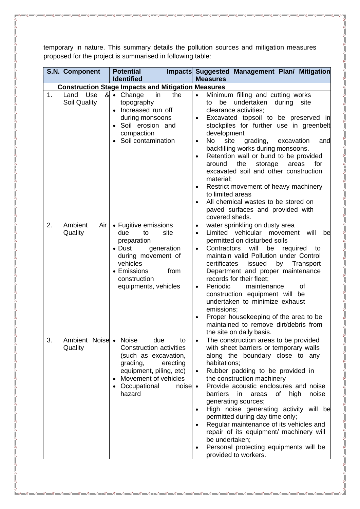temporary in nature. This summary details the pollution sources and mitigation measures proposed for the project is summarised in following table:

 $s_6^2 = s_6^2 = s_6^2 = s_6^2 = s_6^2 = s_6^2 = s_6^2 = s_6^2 = s_6^2 = s_6^2 = s_6^2 = s_6^2 = s_6^2 = s_6^2 = s_6^2 = s_6^2 = s_6^2 = s_6^2 = s_6^2 = s_6^2 = s_6^2 = s_6^2 = s_6^2 = s_6^2 = s_6^2 = s_6^2 = s_6^2 = s_6^2 = s_6^2 = s_6^2 = s_6^2 = s_6^2 = s_6^2 = s_6^2 = s_6^2 = s_6^2 = s_6^$ 

|    | S.N. Component                   | <b>Potential</b><br><b>Identified</b>                                                                                                                                                                           | Impacts Suggested Management Plan/ Mitigation<br><b>Measures</b>                                                                                                                                                                                                                                                                                                                                                                                                                                                                                                                                                                                                          |
|----|----------------------------------|-----------------------------------------------------------------------------------------------------------------------------------------------------------------------------------------------------------------|---------------------------------------------------------------------------------------------------------------------------------------------------------------------------------------------------------------------------------------------------------------------------------------------------------------------------------------------------------------------------------------------------------------------------------------------------------------------------------------------------------------------------------------------------------------------------------------------------------------------------------------------------------------------------|
|    |                                  | <b>Construction Stage Impacts and Mitigation Measures</b>                                                                                                                                                       |                                                                                                                                                                                                                                                                                                                                                                                                                                                                                                                                                                                                                                                                           |
| 1. | Use<br>Land<br>Soil Quality      | & Change<br>the<br>in<br>topography<br>Increased run off<br>$\bullet$<br>during monsoons<br>Soil erosion and<br>compaction<br>Soil contamination                                                                | Minimum filling and cutting works<br>$\bullet$<br>undertaken<br>during<br>site<br>be<br>to<br>clearance activities;<br>Excavated topsoil to be preserved in<br>$\bullet$<br>stockpiles for further use in greenbelt<br>development<br><b>No</b><br>site<br>grading,<br>excavation<br>and<br>$\bullet$<br>backfilling works during monsoons.<br>Retention wall or bund to be provided<br>$\bullet$<br>around<br>the<br>for<br>storage<br>areas<br>excavated soil and other construction<br>material;<br>Restrict movement of heavy machinery<br>$\bullet$<br>to limited areas<br>All chemical wastes to be stored on<br>paved surfaces and provided with<br>covered sheds. |
| 2. | Ambient<br>Air<br>Quality        | • Fugitive emissions<br>site<br>due<br>to<br>preparation<br>• Dust<br>generation<br>during movement of<br>vehicles<br>• Emissions<br>from<br>construction<br>equipments, vehicles                               | water sprinkling on dusty area<br>$\bullet$<br>Limited vehicular<br>will<br>movement<br>be<br>$\bullet$<br>permitted on disturbed soils<br>Contractors<br>will<br>be<br>required<br>to<br>$\bullet$<br>maintain valid Pollution under Control<br>certificates<br>issued<br>by<br>Transport<br>Department and proper maintenance<br>records for their fleet;<br>of<br>Periodic<br>maintenance<br>$\bullet$<br>construction equipment will be<br>undertaken to minimize exhaust<br>emissions;<br>Proper housekeeping of the area to be<br>$\bullet$<br>maintained to remove dirt/debris from<br>the site on daily basis.                                                    |
| 3. | Ambient Noise • Noise<br>Quality | due<br>to<br><b>Construction activities</b><br>(such as excavation,<br>grading,<br>erecting<br>equipment, piling, etc)<br>Movement of vehicles<br>$\bullet$<br>Occupational<br>$noise$ •<br>$\bullet$<br>hazard | The construction areas to be provided<br>with sheet barriers or temporary walls<br>along the boundary close to any<br>habitations;<br>Rubber padding to be provided in<br>$\bullet$<br>the construction machinery<br>Provide acoustic enclosures and noise<br>barriers<br>noise<br>in<br>areas<br>of<br>high<br>generating sources;<br>High noise generating activity will be<br>permitted during day time only;<br>Regular maintenance of its vehicles and<br>repair of its equipment/ machinery will<br>be undertaken;<br>Personal protecting equipments will be<br>provided to workers.                                                                                |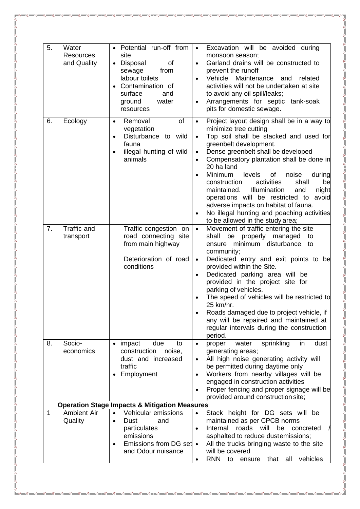| 5.          | Water<br><b>Resources</b><br>and Quality | • Potential run-off from<br>site<br>• Disposal<br>of<br>from<br>sewage<br>labour toilets<br>Contamination of<br>surface<br>and<br>ground<br>water<br>resources | $\bullet$<br>$\bullet$<br>$\bullet$<br>$\bullet$              | Excavation will be avoided during<br>monsoon season;<br>Garland drains will be constructed to<br>prevent the runoff<br>Vehicle Maintenance and<br>related<br>activities will not be undertaken at site<br>to avoid any oil spill/leaks;<br>Arrangements for septic tank-soak<br>pits for domestic sewage.                                                                                                                                                                                                                                             |
|-------------|------------------------------------------|----------------------------------------------------------------------------------------------------------------------------------------------------------------|---------------------------------------------------------------|-------------------------------------------------------------------------------------------------------------------------------------------------------------------------------------------------------------------------------------------------------------------------------------------------------------------------------------------------------------------------------------------------------------------------------------------------------------------------------------------------------------------------------------------------------|
| 6.          | Ecology                                  | of<br>Removal<br>$\bullet$<br>vegetation<br>Disturbance to wild<br>$\bullet$<br>fauna<br>illegal hunting of wild<br>animals                                    | $\bullet$<br>$\bullet$<br>$\bullet$<br>$\bullet$<br>$\bullet$ | Project layout design shall be in a way to<br>minimize tree cutting<br>Top soil shall be stacked and used for<br>greenbelt development.<br>Dense greenbelt shall be developed<br>Compensatory plantation shall be done in<br>20 ha land<br>Minimum<br>levels<br>of<br>noise<br>during<br>construction<br>activities<br>shall<br>be<br>Illumination<br>maintained.<br>and<br>night<br>operations will be restricted to avoid<br>adverse impacts on habitat of fauna.<br>No illegal hunting and poaching activities<br>to be allowed in the study area; |
| 7.          | Traffic and<br>transport                 | Traffic congestion on<br>road connecting site<br>from main highway<br>Deterioration of road<br>conditions                                                      | $\bullet$<br>$\bullet$<br>$\bullet$                           | Movement of traffic entering the site<br>properly managed<br>shall<br>be<br>to<br>ensure minimum disturbance<br>to<br>community;<br>Dedicated entry and exit points to be<br>provided within the Site.<br>Dedicated parking area will be<br>provided in the project site for<br>parking of vehicles.<br>The speed of vehicles will be restricted to<br>25 km/hr.<br>Roads damaged due to project vehicle, if<br>any will be repaired and maintained at<br>regular intervals during the construction<br>period.                                        |
| 8.          | Socio-<br>economics                      | impact<br>due<br>to<br>construction<br>noise,<br>dust and increased<br>traffic<br>Employment                                                                   | $\bullet$<br>$\bullet$<br>$\bullet$<br>$\bullet$              | in<br>dust<br>proper<br>water<br>sprinkling<br>generating areas;<br>All high noise generating activity will<br>be permitted during daytime only<br>Workers from nearby villages will be<br>engaged in construction activities<br>Proper fencing and proper signage will be<br>provided around construction site;                                                                                                                                                                                                                                      |
|             |                                          | <b>Operation Stage Impacts &amp; Mitigation Measures</b>                                                                                                       |                                                               |                                                                                                                                                                                                                                                                                                                                                                                                                                                                                                                                                       |
| $\mathbf 1$ | <b>Ambient Air</b><br>Quality            | Vehicular emissions<br>Dust<br>and<br>$\bullet$<br>particulates<br>emissions<br>Emissions from DG set •<br>$\bullet$<br>and Odour nuisance                     | $\bullet$<br>$\bullet$<br>٠                                   | Stack height for DG sets will be<br>maintained as per CPCB norms<br>Internal<br>roads<br>will<br>be<br>concreted<br>asphalted to reduce dustemissions;<br>All the trucks bringing waste to the site<br>will be covered<br><b>RNN</b><br>vehicles<br>that<br>all<br>to<br>ensure                                                                                                                                                                                                                                                                       |

°°

 $-8^{\circ}$ 

- %- %- %-

- %- %- %- %-

- %- %- %-

- %- %- %-

 $-8^{\circ}_{\circ} - 8^{\circ}_{\circ}$ 

 $\overline{\overline{\overline{6}}}$ 

 $\mathbb{E}$   $\frac{1}{2}$   $\frac{1}{2}$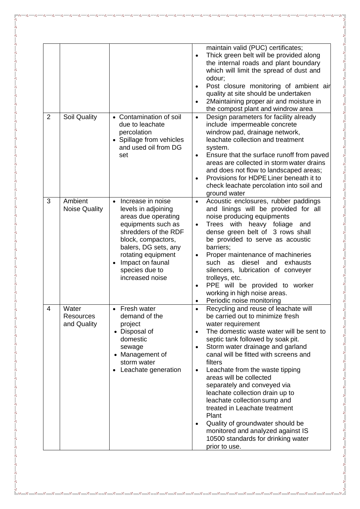| $\overline{2}$ | Soil Quality                             | • Contamination of soil<br>due to leachate                                                                                                                                                                                                              | maintain valid (PUC) certificates;<br>Thick green belt will be provided along<br>$\bullet$<br>the internal roads and plant boundary<br>which will limit the spread of dust and<br>odour;<br>Post closure monitoring of ambient air<br>quality at site should be undertaken<br>2Maintaining proper air and moisture in<br>the compost plant and windrow area<br>Design parameters for facility already<br>$\bullet$<br>include impermeable concrete                                                                                                                                                                                                                                |
|----------------|------------------------------------------|---------------------------------------------------------------------------------------------------------------------------------------------------------------------------------------------------------------------------------------------------------|-----------------------------------------------------------------------------------------------------------------------------------------------------------------------------------------------------------------------------------------------------------------------------------------------------------------------------------------------------------------------------------------------------------------------------------------------------------------------------------------------------------------------------------------------------------------------------------------------------------------------------------------------------------------------------------|
|                |                                          | percolation<br>• Spillage from vehicles<br>and used oil from DG                                                                                                                                                                                         | windrow pad, drainage network,<br>leachate collection and treatment<br>system.                                                                                                                                                                                                                                                                                                                                                                                                                                                                                                                                                                                                    |
|                |                                          | set                                                                                                                                                                                                                                                     | Ensure that the surface runoff from paved<br>$\bullet$<br>areas are collected in storm water drains<br>and does not flow to landscaped areas;<br>Provisions for HDPE Liner beneath it to<br>check leachate percolation into soil and<br>ground water                                                                                                                                                                                                                                                                                                                                                                                                                              |
| 3              | Ambient<br><b>Noise Quality</b>          | Increase in noise<br>$\bullet$<br>levels in adjoining<br>areas due operating<br>equipments such as<br>shredders of the RDF<br>block, compactors,<br>balers, DG sets, any<br>rotating equipment<br>Impact on faunal<br>species due to<br>increased noise | Acoustic enclosures, rubber paddings<br>$\bullet$<br>and linings will be provided for all<br>noise producing equipments<br>Trees with heavy foliage<br>and<br>$\bullet$<br>dense green belt of 3 rows shall<br>be provided to serve as acoustic<br>barriers;<br>Proper maintenance of machineries<br>$\bullet$<br>diesel<br>such as<br>and<br>exhausts<br>silencers, lubrication of conveyer<br>trolleys, etc.<br>PPE will be provided to worker<br>$\bullet$<br>working in high noise areas.<br>Periodic noise monitoring                                                                                                                                                        |
| 4              | Water<br><b>Resources</b><br>and Quality | Fresh water<br>$\bullet$<br>demand of the<br>project<br>• Disposal of<br>domestic<br>sewage<br>• Management of<br>storm water<br>Leachate generation                                                                                                    | Recycling and reuse of leachate will<br>$\bullet$<br>be carried out to minimize fresh<br>water requirement<br>The domestic waste water will be sent to<br>$\bullet$<br>septic tank followed by soak pit.<br>Storm water drainage and garland<br>$\bullet$<br>canal will be fitted with screens and<br>filters<br>Leachate from the waste tipping<br>$\bullet$<br>areas will be collected<br>separately and conveyed via<br>leachate collection drain up to<br>leachate collection sump and<br>treated in Leachate treatment<br>Plant<br>Quality of groundwater should be<br>$\bullet$<br>monitored and analyzed against IS<br>10500 standards for drinking water<br>prior to use. |

°°

 $-8^{\circ}$ 

- %- %- %-

- %- %- %- %-

- %- %- %-

- %- %- %-

 $-8^{\circ}_{\circ} - 8^{\circ}_{\circ}$ 

 $\overline{\overline{\overline{6}}}$ 

 $\mathbb{E}$   $\frac{1}{2}$   $\frac{1}{2}$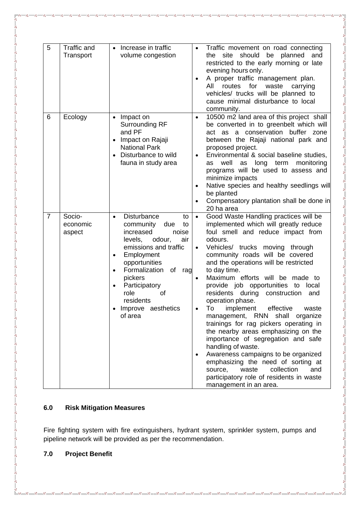| 5              | Traffic and<br>Transport     | Increase in traffic<br>$\bullet$<br>volume congestion                                                                                                                                                                                                                                                                     | $\bullet$                           | Traffic movement on road connecting<br>should<br>planned<br>the.<br>site<br>be<br>and<br>restricted to the early morning or late<br>evening hours only.<br>A proper traffic management plan.<br>All<br>routes for<br>waste<br>carrying<br>vehicles/ trucks will be planned to<br>cause minimal disturbance to local                                                                                                                                                                                                                                                                                                                                                                                                                                                                                                             |
|----------------|------------------------------|---------------------------------------------------------------------------------------------------------------------------------------------------------------------------------------------------------------------------------------------------------------------------------------------------------------------------|-------------------------------------|---------------------------------------------------------------------------------------------------------------------------------------------------------------------------------------------------------------------------------------------------------------------------------------------------------------------------------------------------------------------------------------------------------------------------------------------------------------------------------------------------------------------------------------------------------------------------------------------------------------------------------------------------------------------------------------------------------------------------------------------------------------------------------------------------------------------------------|
| 6              | Ecology                      | Impact on<br>$\bullet$<br>Surrounding RF<br>and PF<br>Impact on Rajaji<br><b>National Park</b><br>Disturbance to wild<br>fauna in study area                                                                                                                                                                              | $\bullet$<br>$\bullet$<br>٠         | community.<br>10500 m2 land area of this project shall<br>be converted in to greenbelt which will<br>act as a conservation buffer zone<br>between the Rajaji national park and<br>proposed project.<br>Environmental & social baseline studies,<br>well<br>as long term<br>monitoring<br>as<br>programs will be used to assess and<br>minimize impacts<br>Native species and healthy seedlings will<br>be planted<br>Compensatory plantation shall be done in<br>20 ha area                                                                                                                                                                                                                                                                                                                                                     |
| $\overline{7}$ | Socio-<br>economic<br>aspect | <b>Disturbance</b><br>to<br>$\bullet$<br>community<br>due<br>to<br>increased<br>noise<br>levels,<br>air<br>odour,<br>emissions and traffic<br>Employment<br>$\bullet$<br>opportunities<br>Formalization<br>of<br>rag<br>$\bullet$<br>pickers<br>Participatory<br>role<br>0f<br>residents<br>Improve aesthetics<br>of area | $\bullet$<br>$\bullet$<br>$\bullet$ | Good Waste Handling practices will be<br>implemented which will greatly reduce<br>foul smell and reduce impact from<br>odours.<br>Vehicles/ trucks moving<br>through<br>community roads will be covered<br>and the operations will be restricted<br>to day time.<br>Maximum efforts will be made to<br>provide job opportunities to local<br>residents during<br>construction<br>and<br>operation phase.<br>To<br>effective<br>implement<br>waste<br>management, RNN shall<br>organize<br>trainings for rag pickers operating in<br>the nearby areas emphasizing on the<br>importance of segregation and safe<br>handling of waste.<br>Awareness campaigns to be organized<br>emphasizing the need of sorting at<br>collection<br>waste<br>and<br>source,<br>participatory role of residents in waste<br>management in an area. |

# **6.0 Risk Mitigation Measures**

Fire fighting system with fire extinguishers, hydrant system, sprinkler system, pumps and pipeline network will be provided as per the recommendation.

## **7.0 Project Benefit**

 $30 - 30 - 30 - 30 - 30 - 30 - 30$ 

 $-8 - 8 - 8 - 8$ 

 $-80 - 80 - 80 - 80 - 80 - 80 - 80 - 80$ 

ΙŬ